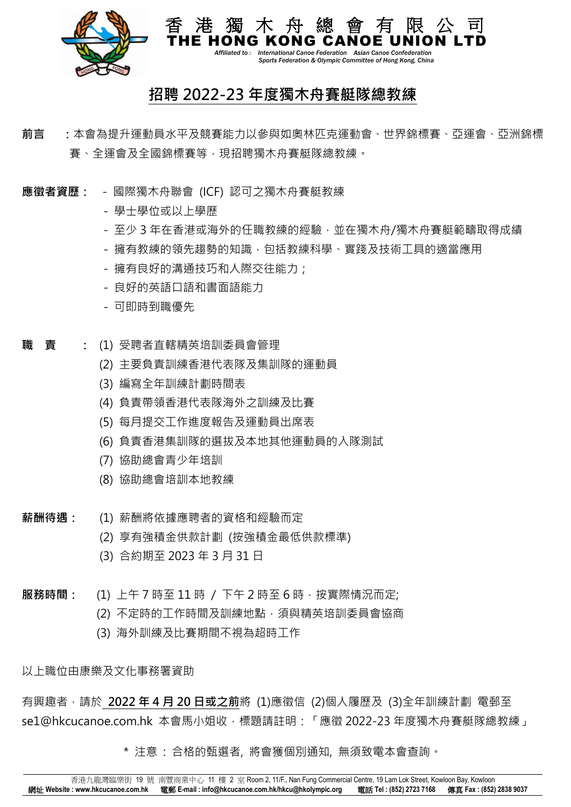

 *Affiliated to : International Canoe Federation Asian Canoe Confederation Sports Federation & Olympic Committee of Hong Kong, China*

## **招聘 2022-23 年度獨木舟賽艇隊總教練**

- **前言 :**本會為提升運動員水平及競賽能力以參與如奧林匹克運動會、世界錦標賽、亞運會、亞洲錦標 賽、全運會及全國錦標賽等,現招聘獨木舟賽艇隊總教練。
- **應徵者資歷:**  國際獨木舟聯會 (ICF) 認可之獨木舟賽艇教練
	- 學士學位或以上學歷
	- 至少 3 年在香港或海外的任職教練的經驗,並在獨木舟/獨木舟賽艇範疇取得成績
	- 擁有教練的領先趨勢的知識,包括教練科學、實踐及技術工具的適當應用
	- 擁有良好的溝通技巧和人際交往能力;
	- 良好的英語口語和書面語能力
	- 可即時到職優先
- **職 責 :** (1) 受聘者直轄精英培訓委員會管理
	- (2) 主要負責訓練香港代表隊及集訓隊的運動員
	- (3) 編寫全年訓練計劃時間表
	- (4) 負責帶領香港代表隊海外之訓練及比賽
	- (5) 每月提交工作進度報告及運動員出席表
	- (6) 負責香港集訓隊的選拔及本地其他運動員的入隊測試
	- (7) 協助總會青少年培訓
	- (8) 協助總會培訓本地教練
- **薪酬待遇:** (1) 薪酬將依據應聘者的資格和經驗而定
	- (2) 享有強積金供款計劃 (按強積金最低供款標準)
	- (3) 合約期至 2023 年 3 月 31 日
- **服務時間:** (1) 上午 7 時至 11 時 / 下午 2 時至 6 時,按實際情況而定;
	- (2) 不定時的工作時間及訓練地點,須與精英培訓委員會協商
	- (3) 海外訓練及比賽期間不視為超時工作

以上職位由康樂及文化事務署資助

有興趣者,請於 **2022 年 4 月 20 日或之前**將 (1)應徵信 (2)個人履歷及 (3)全年訓練計劃 電郵至 se1@hkcucanoe.com.hk 本會馬小姐收,標題請註明:「應徵 2022-23 年度獨木舟賽艇隊總教練」

\* 注意 : 合格的甄選者, 將會獲個別通知, 無須致電本會查詢。